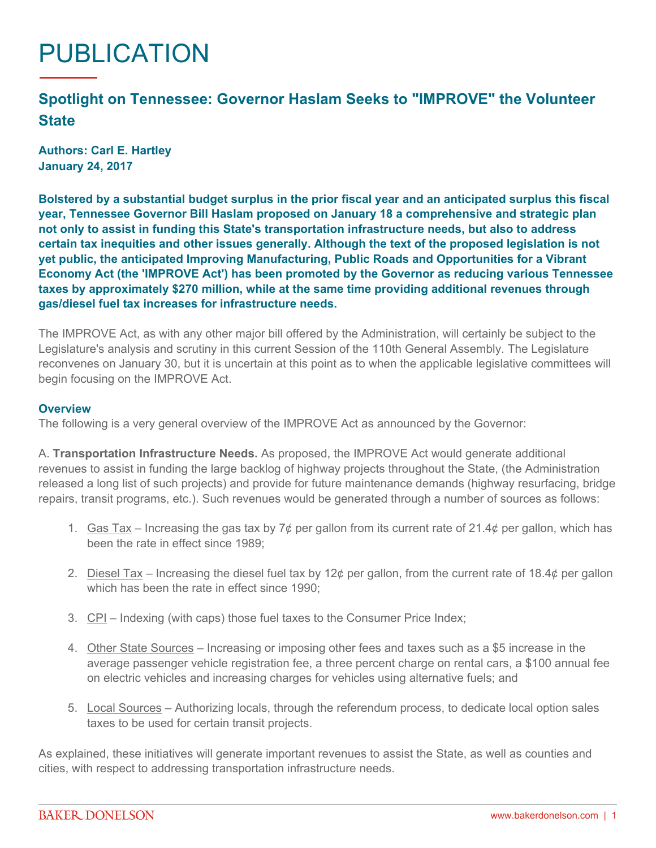## PUBLICATION

## **Spotlight on Tennessee: Governor Haslam Seeks to "IMPROVE" the Volunteer State**

**Authors: Carl E. Hartley January 24, 2017**

**Bolstered by a substantial budget surplus in the prior fiscal year and an anticipated surplus this fiscal year, Tennessee Governor Bill Haslam proposed on January 18 a comprehensive and strategic plan not only to assist in funding this State's transportation infrastructure needs, but also to address certain tax inequities and other issues generally. Although the text of the proposed legislation is not yet public, the anticipated Improving Manufacturing, Public Roads and Opportunities for a Vibrant Economy Act (the 'IMPROVE Act') has been promoted by the Governor as reducing various Tennessee taxes by approximately \$270 million, while at the same time providing additional revenues through gas/diesel fuel tax increases for infrastructure needs.**

The IMPROVE Act, as with any other major bill offered by the Administration, will certainly be subject to the Legislature's analysis and scrutiny in this current Session of the 110th General Assembly. The Legislature reconvenes on January 30, but it is uncertain at this point as to when the applicable legislative committees will begin focusing on the IMPROVE Act.

## **Overview**

The following is a very general overview of the IMPROVE Act as announced by the Governor:

A. **Transportation Infrastructure Needs.** As proposed, the IMPROVE Act would generate additional revenues to assist in funding the large backlog of highway projects throughout the State, (the Administration released a long list of such projects) and provide for future maintenance demands (highway resurfacing, bridge repairs, transit programs, etc.). Such revenues would be generated through a number of sources as follows:

- 1. Gas Tax Increasing the gas tax by  $7¢$  per gallon from its current rate of 21.4¢ per gallon, which has been the rate in effect since 1989;
- 2. Diesel Tax Increasing the diesel fuel tax by 12¢ per gallon, from the current rate of 18.4¢ per gallon which has been the rate in effect since 1990;
- 3. CPI Indexing (with caps) those fuel taxes to the Consumer Price Index;
- 4. Other State Sources Increasing or imposing other fees and taxes such as a \$5 increase in the average passenger vehicle registration fee, a three percent charge on rental cars, a \$100 annual fee on electric vehicles and increasing charges for vehicles using alternative fuels; and
- 5. Local Sources Authorizing locals, through the referendum process, to dedicate local option sales taxes to be used for certain transit projects.

As explained, these initiatives will generate important revenues to assist the State, as well as counties and cities, with respect to addressing transportation infrastructure needs.